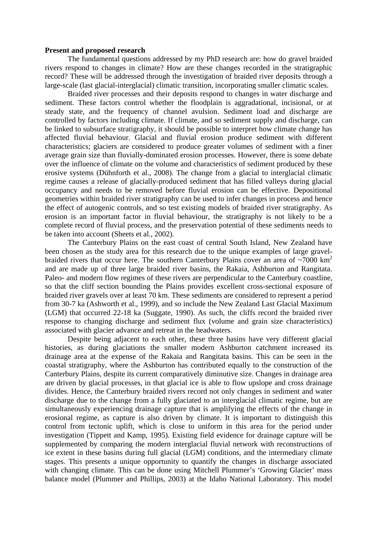## **Present and proposed research**

The fundamental questions addressed by my PhD research are: how do gravel braided rivers respond to changes in climate? How are these changes recorded in the stratigraphic record? These will be addressed through the investigation of braided river deposits through a large-scale (last glacial-interglacial) climatic transition, incorporating smaller climatic scales.

Braided river processes and their deposits respond to changes in water discharge and sediment. These factors control whether the floodplain is aggradational, incisional, or at steady state, and the frequency of channel avulsion. Sediment load and discharge are controlled by factors including climate. If climate, and so sediment supply and discharge, can be linked to subsurface stratigraphy, it should be possible to interpret how climate change has affected fluvial behaviour. Glacial and fluvial erosion produce sediment with different characteristics; glaciers are considered to produce greater volumes of sediment with a finer average grain size than fluvially-dominated erosion processes. However, there is some debate over the influence of climate on the volume and characteristics of sediment produced by these erosive systems (Dühnforth et al., 2008). The change from a glacial to interglacial climatic regime causes a release of glacially-produced sediment that has filled valleys during glacial occupancy and needs to be removed before fluvial erosion can be effective. Depositional geometries within braided river stratigraphy can be used to infer changes in process and hence the effect of autogenic controls, and so test existing models of braided river stratigraphy. As erosion is an important factor in fluvial behaviour, the stratigraphy is not likely to be a complete record of fluvial process, and the preservation potential of these sediments needs to be taken into account (Sheets et al., 2002).

The Canterbury Plains on the east coast of central South Island, New Zealand have been chosen as the study area for this research due to the unique examples of large gravelbraided rivers that occur here. The southern Canterbury Plains cover an area of  $\sim$ 7000 km<sup>2</sup> and are made up of three large braided river basins, the Rakaia, Ashburton and Rangitata. Paleo- and modern flow regimes of these rivers are perpendicular to the Canterbury coastline, so that the cliff section bounding the Plains provides excellent cross-sectional exposure of braided river gravels over at least 70 km. These sediments are considered to represent a period from 30-7 ka (Ashworth et al., 1999), and so include the New Zealand Last Glacial Maximum (LGM) that occurred 22-18 ka (Suggate, 1990). As such, the cliffs record the braided river response to changing discharge and sediment flux (volume and grain size characteristics) associated with glacier advance and retreat in the headwaters.

Despite being adjacent to each other, these three basins have very different glacial histories, as during glaciations the smaller modern Ashburton catchment increased its drainage area at the expense of the Rakaia and Rangitata basins. This can be seen in the coastal stratigraphy, where the Ashburton has contributed equally to the construction of the Canterbury Plains, despite its current comparatively diminutive size. Changes in drainage area are driven by glacial processes, in that glacial ice is able to flow upslope and cross drainage divides. Hence, the Canterbury braided rivers record not only changes in sediment and water discharge due to the change from a fully glaciated to an interglacial climatic regime, but are simultaneously experiencing drainage capture that is amplifying the effects of the change in erosional regime, as capture is also driven by climate. It is important to distinguish this control from tectonic uplift, which is close to uniform in this area for the period under investigation (Tippett and Kamp, 1995). Existing field evidence for drainage capture will be supplemented by comparing the modern interglacial fluvial network with reconstructions of ice extent in these basins during full glacial (LGM) conditions, and the intermediary climate stages. This presents a unique opportunity to quantify the changes in discharge associated with changing climate. This can be done using Mitchell Plummer's 'Growing Glacier' mass balance model (Plummer and Phillips, 2003) at the Idaho National Laboratory. This model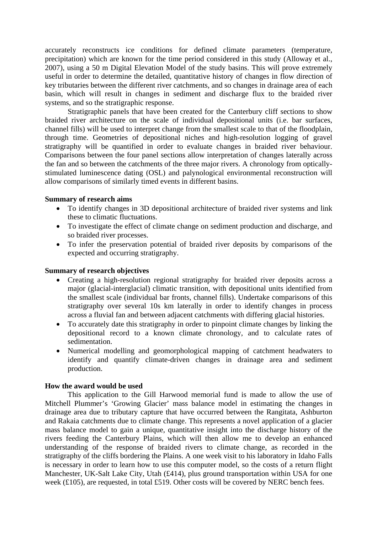accurately reconstructs ice conditions for defined climate parameters (temperature, precipitation) which are known for the time period considered in this study (Alloway et al., 2007), using a 50 m Digital Elevation Model of the study basins. This will prove extremely useful in order to determine the detailed, quantitative history of changes in flow direction of key tributaries between the different river catchments, and so changes in drainage area of each basin, which will result in changes in sediment and discharge flux to the braided river systems, and so the stratigraphic response.

Stratigraphic panels that have been created for the Canterbury cliff sections to show braided river architecture on the scale of individual depositional units (i.e. bar surfaces, channel fills) will be used to interpret change from the smallest scale to that of the floodplain, through time. Geometries of depositional niches and high-resolution logging of gravel stratigraphy will be quantified in order to evaluate changes in braided river behaviour. Comparisons between the four panel sections allow interpretation of changes laterally across the fan and so between the catchments of the three major rivers. A chronology from opticallystimulated luminescence dating (OSL) and palynological environmental reconstruction will allow comparisons of similarly timed events in different basins.

## **Summary of research aims**

- To identify changes in 3D depositional architecture of braided river systems and link these to climatic fluctuations.
- To investigate the effect of climate change on sediment production and discharge, and so braided river processes.
- To infer the preservation potential of braided river deposits by comparisons of the expected and occurring stratigraphy.

## **Summary of research objectives**

- Creating a high-resolution regional stratigraphy for braided river deposits across a major (glacial-interglacial) climatic transition, with depositional units identified from the smallest scale (individual bar fronts, channel fills). Undertake comparisons of this stratigraphy over several 10s km laterally in order to identify changes in process across a fluvial fan and between adjacent catchments with differing glacial histories.
- To accurately date this stratigraphy in order to pinpoint climate changes by linking the depositional record to a known climate chronology, and to calculate rates of sedimentation.
- Numerical modelling and geomorphological mapping of catchment headwaters to identify and quantify climate-driven changes in drainage area and sediment production.

## **How the award would be used**

This application to the Gill Harwood memorial fund is made to allow the use of Mitchell Plummer's 'Growing Glacier' mass balance model in estimating the changes in drainage area due to tributary capture that have occurred between the Rangitata, Ashburton and Rakaia catchments due to climate change. This represents a novel application of a glacier mass balance model to gain a unique, quantitative insight into the discharge history of the rivers feeding the Canterbury Plains, which will then allow me to develop an enhanced understanding of the response of braided rivers to climate change, as recorded in the stratigraphy of the cliffs bordering the Plains. A one week visit to his laboratory in Idaho Falls is necessary in order to learn how to use this computer model, so the costs of a return flight Manchester, UK-Salt Lake City, Utah (£414), plus ground transportation within USA for one week (£105), are requested, in total £519. Other costs will be covered by NERC bench fees.